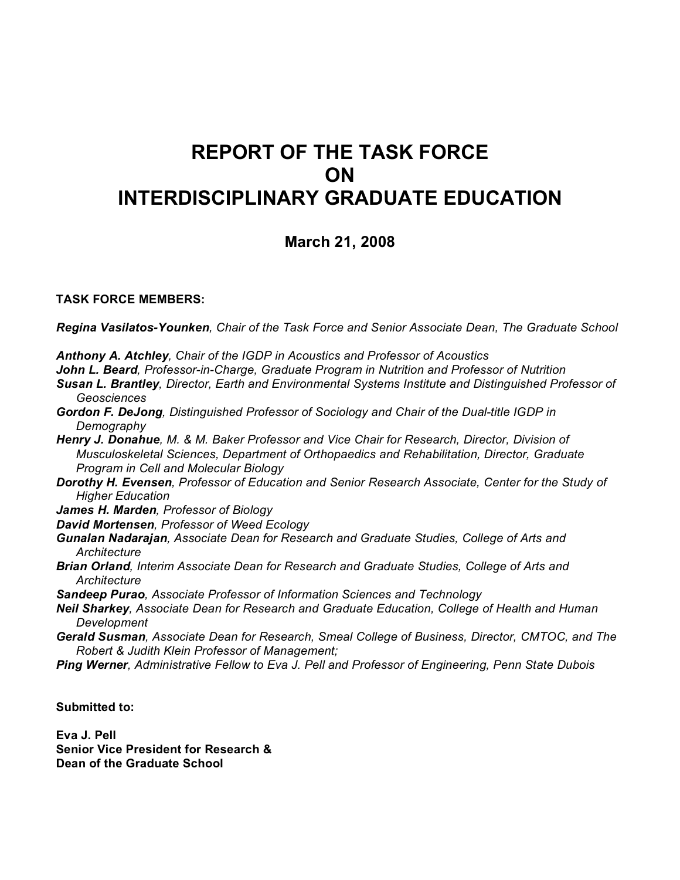# **REPORT OF THE TASK FORCE ON INTERDISCIPLINARY GRADUATE EDUCATION**

# **March 21, 2008**

# **TASK FORCE MEMBERS:**

*Regina Vasilatos-Younken, Chair of the Task Force and Senior Associate Dean, The Graduate School*

*Anthony A. Atchley, Chair of the IGDP in Acoustics and Professor of Acoustics*

*John L. Beard, Professor-in-Charge, Graduate Program in Nutrition and Professor of Nutrition*

*Susan L. Brantley, Director, Earth and Environmental Systems Institute and Distinguished Professor of Geosciences* 

*Gordon F. DeJong, Distinguished Professor of Sociology and Chair of the Dual-title IGDP in Demography*

*Henry J. Donahue, M. & M. Baker Professor and Vice Chair for Research, Director, Division of Musculoskeletal Sciences, Department of Orthopaedics and Rehabilitation, Director, Graduate Program in Cell and Molecular Biology*

*Dorothy H. Evensen, Professor of Education and Senior Research Associate, Center for the Study of Higher Education*

*James H. Marden, Professor of Biology*

- *David Mortensen, Professor of Weed Ecology*
- *Gunalan Nadarajan, Associate Dean for Research and Graduate Studies, College of Arts and Architecture*
- *Brian Orland, Interim Associate Dean for Research and Graduate Studies, College of Arts and Architecture*

*Sandeep Purao, Associate Professor of Information Sciences and Technology* 

- *Neil Sharkey, Associate Dean for Research and Graduate Education, College of Health and Human Development*
- *Gerald Susman, Associate Dean for Research, Smeal College of Business, Director, CMTOC, and The Robert & Judith Klein Professor of Management;*
- *Ping Werner, Administrative Fellow to Eva J. Pell and Professor of Engineering, Penn State Dubois*

**Submitted to:**

**Eva J. Pell Senior Vice President for Research & Dean of the Graduate School**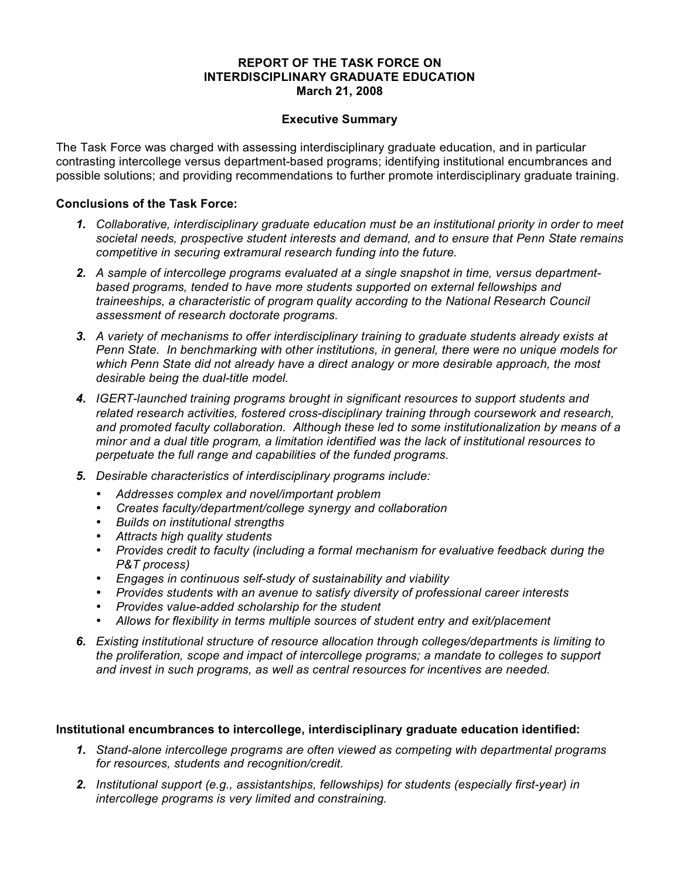#### **REPORT OF THE TASK FORCE ON INTERDISCIPLINARY GRADUATE EDUCATION March 21, 2008**

## **Executive Summary**

The Task Force was charged with assessing interdisciplinary graduate education, and in particular contrasting intercollege versus department-based programs; identifying institutional encumbrances and possible solutions; and providing recommendations to further promote interdisciplinary graduate training.

#### **Conclusions of the Task Force:**

- *1. Collaborative, interdisciplinary graduate education must be an institutional priority in order to meet societal needs, prospective student interests and demand, and to ensure that Penn State remains competitive in securing extramural research funding into the future.*
- *2. A sample of intercollege programs evaluated at a single snapshot in time, versus departmentbased programs, tended to have more students supported on external fellowships and traineeships, a characteristic of program quality according to the National Research Council assessment of research doctorate programs.*
- *3. A variety of mechanisms to offer interdisciplinary training to graduate students already exists at Penn State. In benchmarking with other institutions, in general, there were no unique models for which Penn State did not already have a direct analogy or more desirable approach, the most desirable being the dual-title model.*
- *4. IGERT-launched training programs brought in significant resources to support students and related research activities, fostered cross-disciplinary training through coursework and research, and promoted faculty collaboration. Although these led to some institutionalization by means of a minor and a dual title program, a limitation identified was the lack of institutional resources to perpetuate the full range and capabilities of the funded programs.*
- *5. Desirable characteristics of interdisciplinary programs include:*
	- *Addresses complex and novel/important problem*
	- *Creates faculty/department/college synergy and collaboration*
	- *Builds on institutional strengths*
	- *Attracts high quality students*
	- *Provides credit to faculty (including a formal mechanism for evaluative feedback during the P&T process)*
	- *Engages in continuous self-study of sustainability and viability*
	- *Provides students with an avenue to satisfy diversity of professional career interests*
	- *Provides value-added scholarship for the student*
	- *Allows for flexibility in terms multiple sources of student entry and exit/placement*
- *6. Existing institutional structure of resource allocation through colleges/departments is limiting to the proliferation, scope and impact of intercollege programs; a mandate to colleges to support and invest in such programs, as well as central resources for incentives are needed.*

# **Institutional encumbrances to intercollege, interdisciplinary graduate education identified:**

- *1. Stand-alone intercollege programs are often viewed as competing with departmental programs for resources, students and recognition/credit.*
- *2. Institutional support (e.g., assistantships, fellowships) for students (especially first-year) in intercollege programs is very limited and constraining.*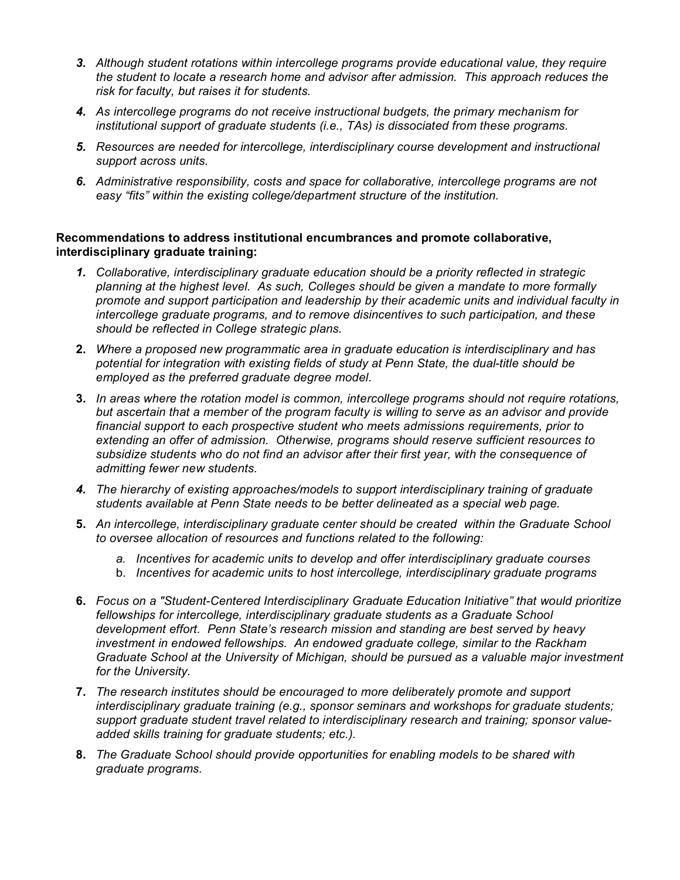- *3. Although student rotations within intercollege programs provide educational value, they require the student to locate a research home and advisor after admission. This approach reduces the risk for faculty, but raises it for students.*
- *4. As intercollege programs do not receive instructional budgets, the primary mechanism for institutional support of graduate students (i.e., TAs) is dissociated from these programs.*
- *5. Resources are needed for intercollege, interdisciplinary course development and instructional support across units.*
- *6. Administrative responsibility, costs and space for collaborative, intercollege programs are not easy "fits" within the existing college/department structure of the institution.*

## **Recommendations to address institutional encumbrances and promote collaborative, interdisciplinary graduate training:**

- *1. Collaborative, interdisciplinary graduate education should be a priority reflected in strategic planning at the highest level. As such, Colleges should be given a mandate to more formally promote and support participation and leadership by their academic units and individual faculty in intercollege graduate programs, and to remove disincentives to such participation, and these should be reflected in College strategic plans.*
- **2.** *Where a proposed new programmatic area in graduate education is interdisciplinary and has potential for integration with existing fields of study at Penn State, the dual-title should be employed as the preferred graduate degree model.*
- **3.** *In areas where the rotation model is common, intercollege programs should not require rotations, but ascertain that a member of the program faculty is willing to serve as an advisor and provide financial support to each prospective student who meets admissions requirements, prior to extending an offer of admission. Otherwise, programs should reserve sufficient resources to subsidize students who do not find an advisor after their first year, with the consequence of admitting fewer new students.*
- *4. The hierarchy of existing approaches/models to support interdisciplinary training of graduate students available at Penn State needs to be better delineated as a special web page.*
- **5.** *An intercollege, interdisciplinary graduate center should be created within the Graduate School to oversee allocation of resources and functions related to the following:*
	- *a. Incentives for academic units to develop and offer interdisciplinary graduate courses*
	- b. *Incentives for academic units to host intercollege, interdisciplinary graduate programs*
- **6.** *Focus on a "Student-Centered Interdisciplinary Graduate Education Initiative" that would prioritize fellowships for intercollege, interdisciplinary graduate students as a Graduate School development effort. Penn State's research mission and standing are best served by heavy investment in endowed fellowships. An endowed graduate college, similar to the Rackham Graduate School at the University of Michigan, should be pursued as a valuable major investment for the University.*
- **7.** *The research institutes should be encouraged to more deliberately promote and support interdisciplinary graduate training (e.g., sponsor seminars and workshops for graduate students; support graduate student travel related to interdisciplinary research and training; sponsor valueadded skills training for graduate students; etc.).*
- **8.** *The Graduate School should provide opportunities for enabling models to be shared with graduate programs.*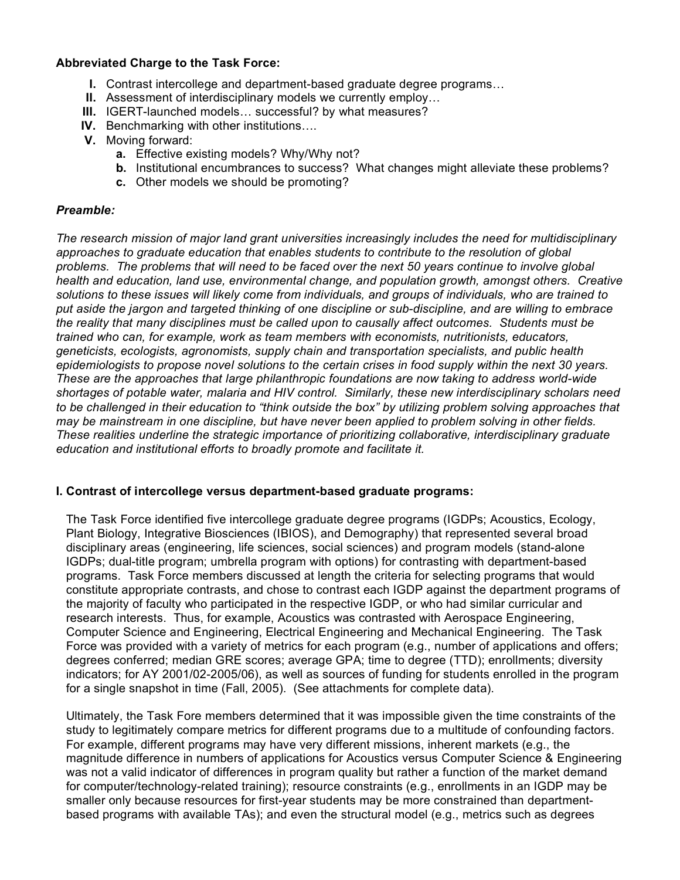#### **Abbreviated Charge to the Task Force:**

- **I.** Contrast intercollege and department-based graduate degree programs…
- **II.** Assessment of interdisciplinary models we currently employ…
- **III.** IGERT-launched models… successful? by what measures?
- **IV.** Benchmarking with other institutions….
- **V.** Moving forward:
	- **a.** Effective existing models? Why/Why not?
	- **b.** Institutional encumbrances to success? What changes might alleviate these problems?
	- **c.** Other models we should be promoting?

#### *Preamble:*

*The research mission of major land grant universities increasingly includes the need for multidisciplinary approaches to graduate education that enables students to contribute to the resolution of global problems. The problems that will need to be faced over the next 50 years continue to involve global health and education, land use, environmental change, and population growth, amongst others. Creative solutions to these issues will likely come from individuals, and groups of individuals, who are trained to put aside the jargon and targeted thinking of one discipline or sub-discipline, and are willing to embrace the reality that many disciplines must be called upon to causally affect outcomes. Students must be trained who can, for example, work as team members with economists, nutritionists, educators, geneticists, ecologists, agronomists, supply chain and transportation specialists, and public health epidemiologists to propose novel solutions to the certain crises in food supply within the next 30 years. These are the approaches that large philanthropic foundations are now taking to address world-wide shortages of potable water, malaria and HIV control. Similarly, these new interdisciplinary scholars need to be challenged in their education to "think outside the box" by utilizing problem solving approaches that may be mainstream in one discipline, but have never been applied to problem solving in other fields. These realities underline the strategic importance of prioritizing collaborative, interdisciplinary graduate education and institutional efforts to broadly promote and facilitate it.*

# **I. Contrast of intercollege versus department-based graduate programs:**

The Task Force identified five intercollege graduate degree programs (IGDPs; Acoustics, Ecology, Plant Biology, Integrative Biosciences (IBIOS), and Demography) that represented several broad disciplinary areas (engineering, life sciences, social sciences) and program models (stand-alone IGDPs; dual-title program; umbrella program with options) for contrasting with department-based programs. Task Force members discussed at length the criteria for selecting programs that would constitute appropriate contrasts, and chose to contrast each IGDP against the department programs of the majority of faculty who participated in the respective IGDP, or who had similar curricular and research interests. Thus, for example, Acoustics was contrasted with Aerospace Engineering, Computer Science and Engineering, Electrical Engineering and Mechanical Engineering. The Task Force was provided with a variety of metrics for each program (e.g., number of applications and offers; degrees conferred; median GRE scores; average GPA; time to degree (TTD); enrollments; diversity indicators; for AY 2001/02-2005/06), as well as sources of funding for students enrolled in the program for a single snapshot in time (Fall, 2005). (See attachments for complete data).

Ultimately, the Task Fore members determined that it was impossible given the time constraints of the study to legitimately compare metrics for different programs due to a multitude of confounding factors. For example, different programs may have very different missions, inherent markets (e.g., the magnitude difference in numbers of applications for Acoustics versus Computer Science & Engineering was not a valid indicator of differences in program quality but rather a function of the market demand for computer/technology-related training); resource constraints (e.g., enrollments in an IGDP may be smaller only because resources for first-year students may be more constrained than departmentbased programs with available TAs); and even the structural model (e.g., metrics such as degrees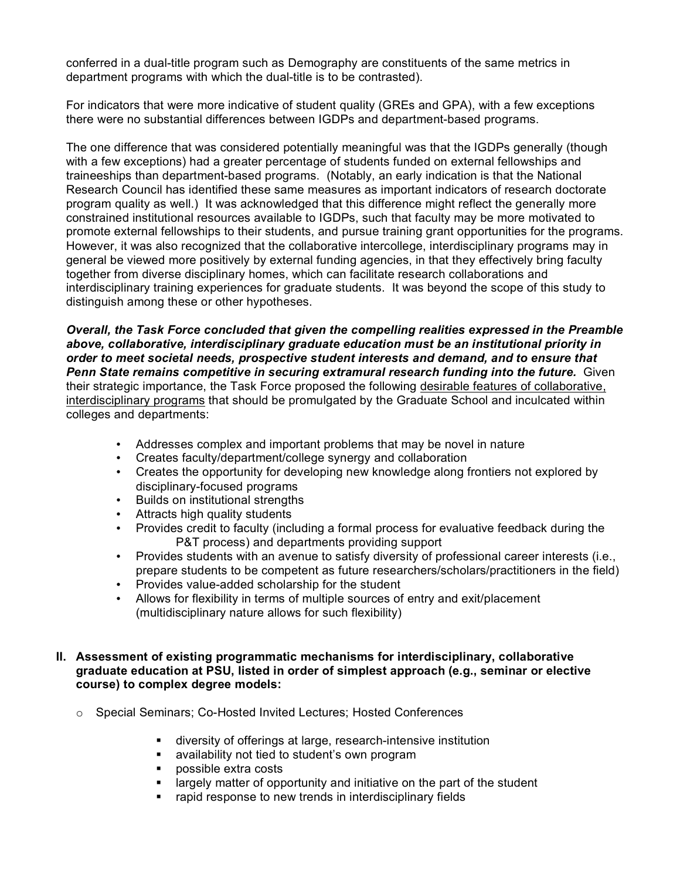conferred in a dual-title program such as Demography are constituents of the same metrics in department programs with which the dual-title is to be contrasted).

For indicators that were more indicative of student quality (GREs and GPA), with a few exceptions there were no substantial differences between IGDPs and department-based programs.

The one difference that was considered potentially meaningful was that the IGDPs generally (though with a few exceptions) had a greater percentage of students funded on external fellowships and traineeships than department-based programs. (Notably, an early indication is that the National Research Council has identified these same measures as important indicators of research doctorate program quality as well.) It was acknowledged that this difference might reflect the generally more constrained institutional resources available to IGDPs, such that faculty may be more motivated to promote external fellowships to their students, and pursue training grant opportunities for the programs. However, it was also recognized that the collaborative intercollege, interdisciplinary programs may in general be viewed more positively by external funding agencies, in that they effectively bring faculty together from diverse disciplinary homes, which can facilitate research collaborations and interdisciplinary training experiences for graduate students. It was beyond the scope of this study to distinguish among these or other hypotheses.

*Overall, the Task Force concluded that given the compelling realities expressed in the Preamble above, collaborative, interdisciplinary graduate education must be an institutional priority in order to meet societal needs, prospective student interests and demand, and to ensure that Penn State remains competitive in securing extramural research funding into the future.* Given their strategic importance, the Task Force proposed the following desirable features of collaborative, interdisciplinary programs that should be promulgated by the Graduate School and inculcated within colleges and departments:

- Addresses complex and important problems that may be novel in nature
- Creates faculty/department/college synergy and collaboration
- Creates the opportunity for developing new knowledge along frontiers not explored by disciplinary-focused programs
- Builds on institutional strengths
- Attracts high quality students
- Provides credit to faculty (including a formal process for evaluative feedback during the P&T process) and departments providing support
- Provides students with an avenue to satisfy diversity of professional career interests (i.e., prepare students to be competent as future researchers/scholars/practitioners in the field)
- Provides value-added scholarship for the student
- Allows for flexibility in terms of multiple sources of entry and exit/placement (multidisciplinary nature allows for such flexibility)

## **II. Assessment of existing programmatic mechanisms for interdisciplinary, collaborative graduate education at PSU, listed in order of simplest approach (e.g., seminar or elective course) to complex degree models:**

- o Special Seminars; Co-Hosted Invited Lectures; Hosted Conferences
	- diversity of offerings at large, research-intensive institution
	- availability not tied to student's own program
	- **possible extra costs**
	- largely matter of opportunity and initiative on the part of the student
	- rapid response to new trends in interdisciplinary fields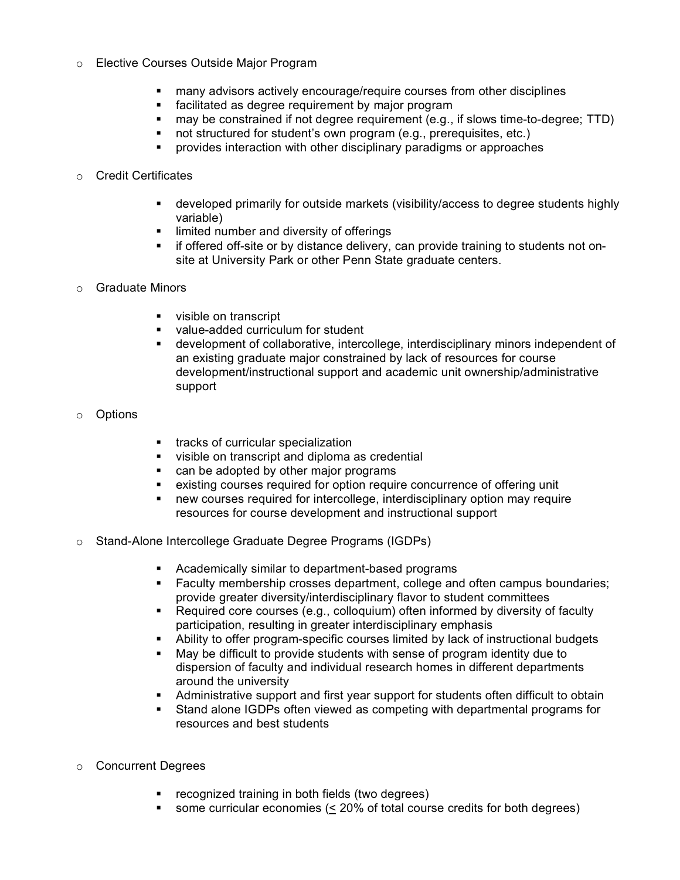- o Elective Courses Outside Major Program
	- many advisors actively encourage/require courses from other disciplines
	- **Facilitated as degree requirement by major program**
	- may be constrained if not degree requirement (e.g., if slows time-to-degree; TTD)
	- not structured for student's own program (e.g., prerequisites, etc.)
	- **•** provides interaction with other disciplinary paradigms or approaches

#### o Credit Certificates

- developed primarily for outside markets (visibility/access to degree students highly variable)
- **I** limited number and diversity of offerings
- **F** if offered off-site or by distance delivery, can provide training to students not onsite at University Park or other Penn State graduate centers.
- o Graduate Minors
	- visible on transcript
	- **value-added curriculum for student**
	- development of collaborative, intercollege, interdisciplinary minors independent of an existing graduate major constrained by lack of resources for course development/instructional support and academic unit ownership/administrative support
- o Options
- **tracks of curricular specialization**
- visible on transcript and diploma as credential
- **EXEC** can be adopted by other major programs
- existing courses required for option require concurrence of offering unit
- new courses required for intercollege, interdisciplinary option may require resources for course development and instructional support
- o Stand-Alone Intercollege Graduate Degree Programs (IGDPs)
	- Academically similar to department-based programs
	- Faculty membership crosses department, college and often campus boundaries; provide greater diversity/interdisciplinary flavor to student committees
	- Required core courses (e.g., colloquium) often informed by diversity of faculty participation, resulting in greater interdisciplinary emphasis
	- Ability to offer program-specific courses limited by lack of instructional budgets
	- May be difficult to provide students with sense of program identity due to dispersion of faculty and individual research homes in different departments around the university
	- Administrative support and first year support for students often difficult to obtain
	- Stand alone IGDPs often viewed as competing with departmental programs for resources and best students
- o Concurrent Degrees
	- **•** recognized training in both fields (two degrees)
	- some curricular economies (< 20% of total course credits for both degrees)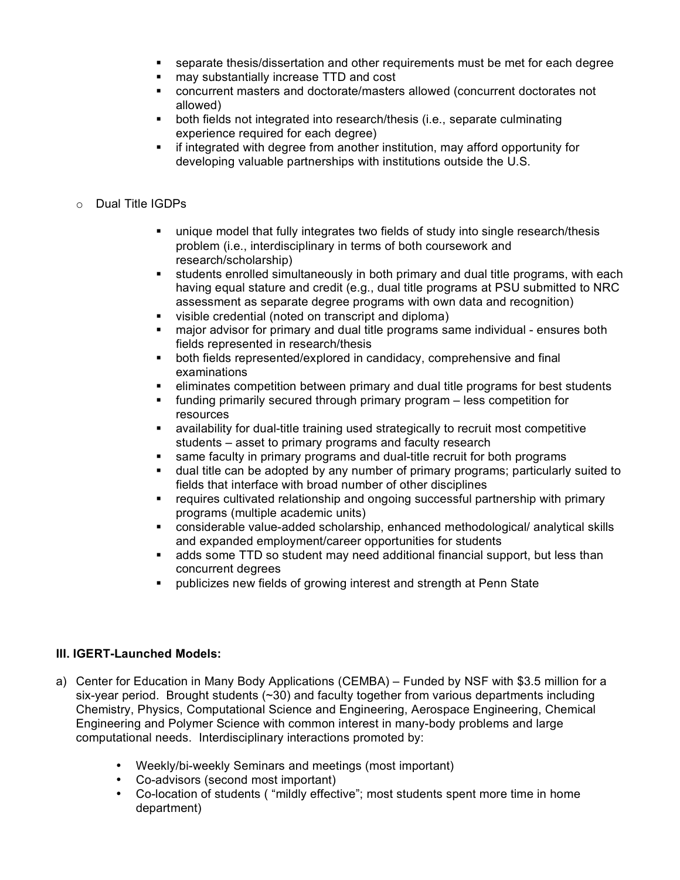- separate thesis/dissertation and other requirements must be met for each degree
- may substantially increase TTD and cost
- concurrent masters and doctorate/masters allowed (concurrent doctorates not allowed)
- both fields not integrated into research/thesis (i.e., separate culminating experience required for each degree)
- **F** if integrated with degree from another institution, may afford opportunity for developing valuable partnerships with institutions outside the U.S.
- o Dual Title IGDPs
	- unique model that fully integrates two fields of study into single research/thesis problem (i.e., interdisciplinary in terms of both coursework and research/scholarship)
	- students enrolled simultaneously in both primary and dual title programs, with each having equal stature and credit (e.g., dual title programs at PSU submitted to NRC assessment as separate degree programs with own data and recognition)
	- visible credential (noted on transcript and diploma)
	- major advisor for primary and dual title programs same individual ensures both fields represented in research/thesis
	- both fields represented/explored in candidacy, comprehensive and final examinations
	- eliminates competition between primary and dual title programs for best students
	- funding primarily secured through primary program less competition for resources
	- availability for dual-title training used strategically to recruit most competitive students – asset to primary programs and faculty research
	- same faculty in primary programs and dual-title recruit for both programs
	- dual title can be adopted by any number of primary programs; particularly suited to fields that interface with broad number of other disciplines
	- requires cultivated relationship and ongoing successful partnership with primary programs (multiple academic units)
	- considerable value-added scholarship, enhanced methodological/ analytical skills and expanded employment/career opportunities for students
	- adds some TTD so student may need additional financial support, but less than concurrent degrees
	- publicizes new fields of growing interest and strength at Penn State

# **III. IGERT-Launched Models:**

- a) Center for Education in Many Body Applications (CEMBA) Funded by NSF with \$3.5 million for a six-year period. Brought students  $(\sim 30)$  and faculty together from various departments including Chemistry, Physics, Computational Science and Engineering, Aerospace Engineering, Chemical Engineering and Polymer Science with common interest in many-body problems and large computational needs. Interdisciplinary interactions promoted by:
	- Weekly/bi-weekly Seminars and meetings (most important)
	- Co-advisors (second most important)
	- Co-location of students ( "mildly effective"; most students spent more time in home department)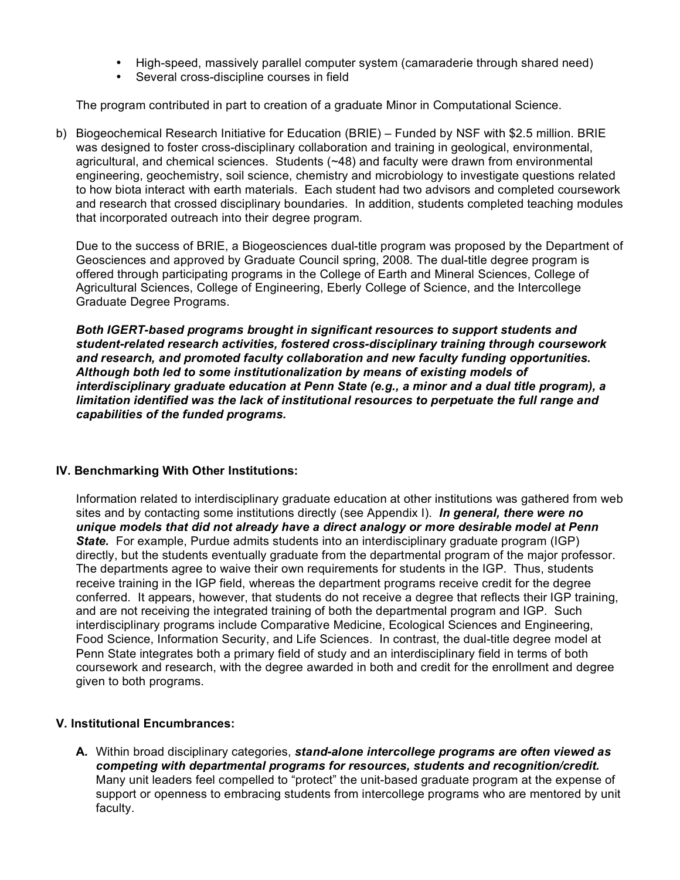- High-speed, massively parallel computer system (camaraderie through shared need)
- Several cross-discipline courses in field

The program contributed in part to creation of a graduate Minor in Computational Science.

b) Biogeochemical Research Initiative for Education (BRIE) – Funded by NSF with \$2.5 million. BRIE was designed to foster cross-disciplinary collaboration and training in geological, environmental, agricultural, and chemical sciences. Students (~48) and faculty were drawn from environmental engineering, geochemistry, soil science, chemistry and microbiology to investigate questions related to how biota interact with earth materials. Each student had two advisors and completed coursework and research that crossed disciplinary boundaries. In addition, students completed teaching modules that incorporated outreach into their degree program.

Due to the success of BRIE, a Biogeosciences dual-title program was proposed by the Department of Geosciences and approved by Graduate Council spring, 2008. The dual-title degree program is offered through participating programs in the College of Earth and Mineral Sciences, College of Agricultural Sciences, College of Engineering, Eberly College of Science, and the Intercollege Graduate Degree Programs.

*Both IGERT-based programs brought in significant resources to support students and student-related research activities, fostered cross-disciplinary training through coursework and research, and promoted faculty collaboration and new faculty funding opportunities. Although both led to some institutionalization by means of existing models of interdisciplinary graduate education at Penn State (e.g., a minor and a dual title program), a limitation identified was the lack of institutional resources to perpetuate the full range and capabilities of the funded programs.* 

#### **IV. Benchmarking With Other Institutions:**

Information related to interdisciplinary graduate education at other institutions was gathered from web sites and by contacting some institutions directly (see Appendix I). *In general, there were no unique models that did not already have a direct analogy or more desirable model at Penn State.* For example, Purdue admits students into an interdisciplinary graduate program (IGP) directly, but the students eventually graduate from the departmental program of the major professor. The departments agree to waive their own requirements for students in the IGP. Thus, students receive training in the IGP field, whereas the department programs receive credit for the degree conferred. It appears, however, that students do not receive a degree that reflects their IGP training, and are not receiving the integrated training of both the departmental program and IGP. Such interdisciplinary programs include Comparative Medicine, Ecological Sciences and Engineering, Food Science, Information Security, and Life Sciences. In contrast, the dual-title degree model at Penn State integrates both a primary field of study and an interdisciplinary field in terms of both coursework and research, with the degree awarded in both and credit for the enrollment and degree given to both programs.

#### **V. Institutional Encumbrances:**

**A.** Within broad disciplinary categories, *stand-alone intercollege programs are often viewed as competing with departmental programs for resources, students and recognition/credit.* Many unit leaders feel compelled to "protect" the unit-based graduate program at the expense of support or openness to embracing students from intercollege programs who are mentored by unit faculty.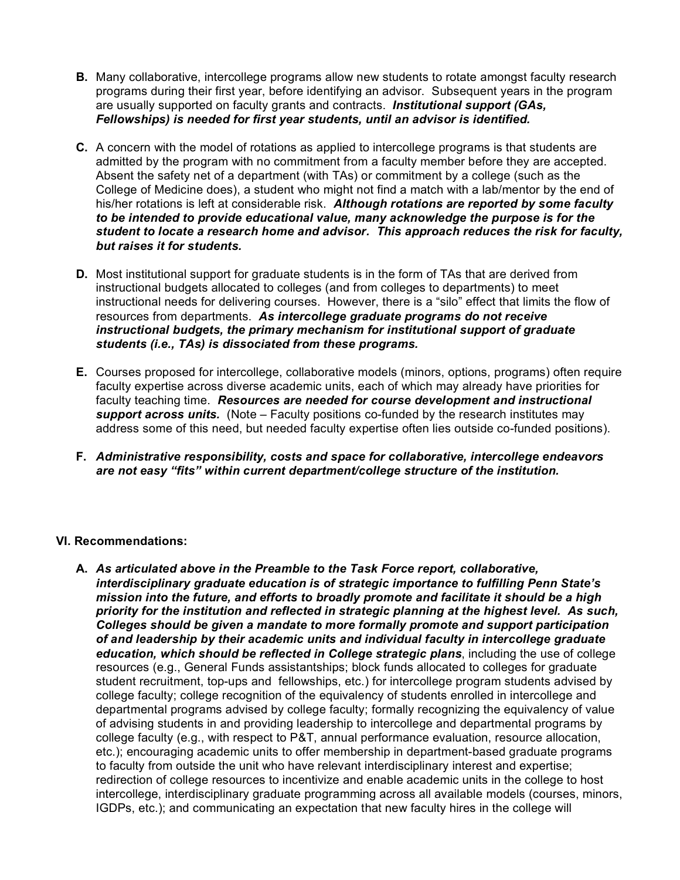- **B.** Many collaborative, intercollege programs allow new students to rotate amongst faculty research programs during their first year, before identifying an advisor. Subsequent years in the program are usually supported on faculty grants and contracts. *Institutional support (GAs, Fellowships) is needed for first year students, until an advisor is identified.*
- **C.** A concern with the model of rotations as applied to intercollege programs is that students are admitted by the program with no commitment from a faculty member before they are accepted. Absent the safety net of a department (with TAs) or commitment by a college (such as the College of Medicine does), a student who might not find a match with a lab/mentor by the end of his/her rotations is left at considerable risk. *Although rotations are reported by some faculty to be intended to provide educational value, many acknowledge the purpose is for the student to locate a research home and advisor. This approach reduces the risk for faculty, but raises it for students.*
- **D.** Most institutional support for graduate students is in the form of TAs that are derived from instructional budgets allocated to colleges (and from colleges to departments) to meet instructional needs for delivering courses. However, there is a "silo" effect that limits the flow of resources from departments. *As intercollege graduate programs do not receive instructional budgets, the primary mechanism for institutional support of graduate students (i.e., TAs) is dissociated from these programs.*
- **E.** Courses proposed for intercollege, collaborative models (minors, options, programs) often require faculty expertise across diverse academic units, each of which may already have priorities for faculty teaching time. *Resources are needed for course development and instructional support across units.* (Note – Faculty positions co-funded by the research institutes may address some of this need, but needed faculty expertise often lies outside co-funded positions).
- **F.** *Administrative responsibility, costs and space for collaborative, intercollege endeavors are not easy "fits" within current department/college structure of the institution.*

# **VI. Recommendations:**

**A.** *As articulated above in the Preamble to the Task Force report, collaborative, interdisciplinary graduate education is of strategic importance to fulfilling Penn State's mission into the future, and efforts to broadly promote and facilitate it should be a high priority for the institution and reflected in strategic planning at the highest level. As such, Colleges should be given a mandate to more formally promote and support participation of and leadership by their academic units and individual faculty in intercollege graduate education, which should be reflected in College strategic plans*, including the use of college resources (e.g., General Funds assistantships; block funds allocated to colleges for graduate student recruitment, top-ups and fellowships, etc.) for intercollege program students advised by college faculty; college recognition of the equivalency of students enrolled in intercollege and departmental programs advised by college faculty; formally recognizing the equivalency of value of advising students in and providing leadership to intercollege and departmental programs by college faculty (e.g., with respect to P&T, annual performance evaluation, resource allocation, etc.); encouraging academic units to offer membership in department-based graduate programs to faculty from outside the unit who have relevant interdisciplinary interest and expertise; redirection of college resources to incentivize and enable academic units in the college to host intercollege, interdisciplinary graduate programming across all available models (courses, minors, IGDPs, etc.); and communicating an expectation that new faculty hires in the college will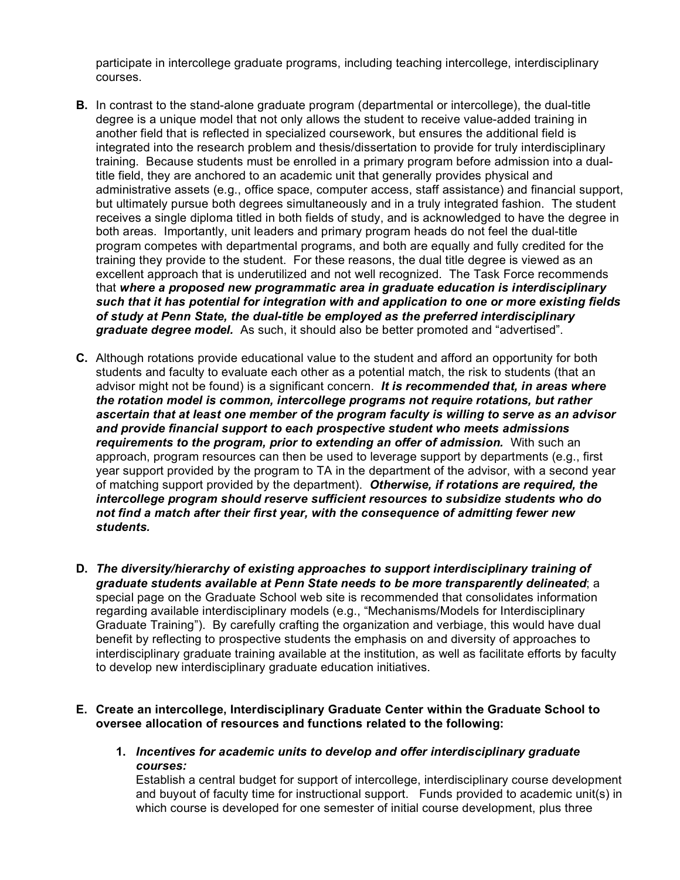participate in intercollege graduate programs, including teaching intercollege, interdisciplinary courses.

- **B.** In contrast to the stand-alone graduate program (departmental or intercollege), the dual-title degree is a unique model that not only allows the student to receive value-added training in another field that is reflected in specialized coursework, but ensures the additional field is integrated into the research problem and thesis/dissertation to provide for truly interdisciplinary training. Because students must be enrolled in a primary program before admission into a dualtitle field, they are anchored to an academic unit that generally provides physical and administrative assets (e.g., office space, computer access, staff assistance) and financial support, but ultimately pursue both degrees simultaneously and in a truly integrated fashion. The student receives a single diploma titled in both fields of study, and is acknowledged to have the degree in both areas. Importantly, unit leaders and primary program heads do not feel the dual-title program competes with departmental programs, and both are equally and fully credited for the training they provide to the student. For these reasons, the dual title degree is viewed as an excellent approach that is underutilized and not well recognized. The Task Force recommends that *where a proposed new programmatic area in graduate education is interdisciplinary such that it has potential for integration with and application to one or more existing fields of study at Penn State, the dual-title be employed as the preferred interdisciplinary graduate degree model.* As such, it should also be better promoted and "advertised".
- **C.** Although rotations provide educational value to the student and afford an opportunity for both students and faculty to evaluate each other as a potential match, the risk to students (that an advisor might not be found) is a significant concern. *It is recommended that, in areas where the rotation model is common, intercollege programs not require rotations, but rather ascertain that at least one member of the program faculty is willing to serve as an advisor and provide financial support to each prospective student who meets admissions requirements to the program, prior to extending an offer of admission.* With such an approach, program resources can then be used to leverage support by departments (e.g., first year support provided by the program to TA in the department of the advisor, with a second year of matching support provided by the department). *Otherwise, if rotations are required, the intercollege program should reserve sufficient resources to subsidize students who do not find a match after their first year, with the consequence of admitting fewer new students.*
- **D.** *The diversity/hierarchy of existing approaches to support interdisciplinary training of graduate students available at Penn State needs to be more transparently delineated*; a special page on the Graduate School web site is recommended that consolidates information regarding available interdisciplinary models (e.g., "Mechanisms/Models for Interdisciplinary Graduate Training"). By carefully crafting the organization and verbiage, this would have dual benefit by reflecting to prospective students the emphasis on and diversity of approaches to interdisciplinary graduate training available at the institution, as well as facilitate efforts by faculty to develop new interdisciplinary graduate education initiatives.
- **E. Create an intercollege, Interdisciplinary Graduate Center within the Graduate School to oversee allocation of resources and functions related to the following:**
	- **1.** *Incentives for academic units to develop and offer interdisciplinary graduate courses:*

Establish a central budget for support of intercollege, interdisciplinary course development and buyout of faculty time for instructional support. Funds provided to academic unit(s) in which course is developed for one semester of initial course development, plus three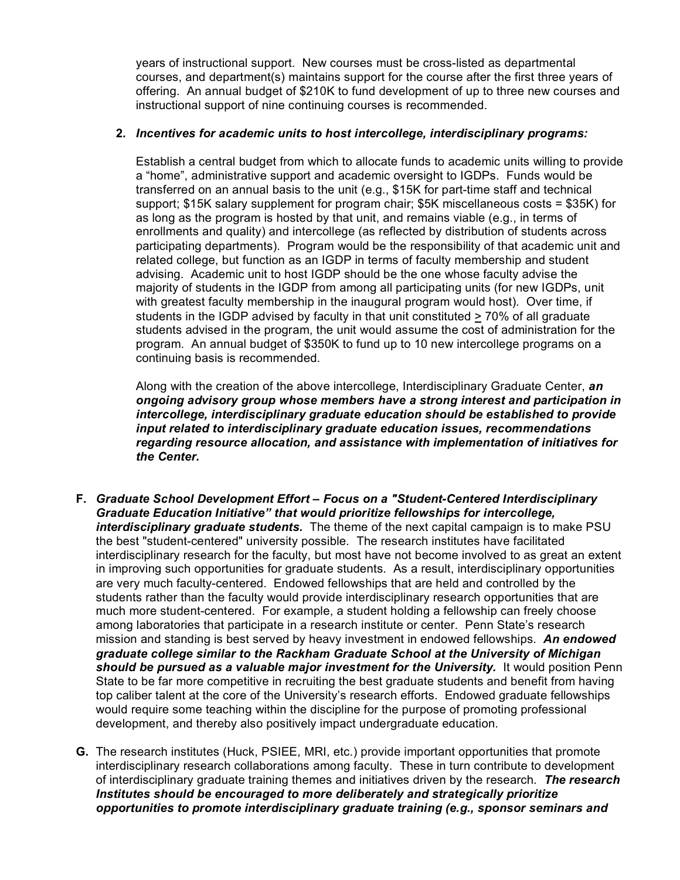years of instructional support. New courses must be cross-listed as departmental courses, and department(s) maintains support for the course after the first three years of offering. An annual budget of \$210K to fund development of up to three new courses and instructional support of nine continuing courses is recommended.

## **2.** *Incentives for academic units to host intercollege, interdisciplinary programs:*

Establish a central budget from which to allocate funds to academic units willing to provide a "home", administrative support and academic oversight to IGDPs. Funds would be transferred on an annual basis to the unit (e.g., \$15K for part-time staff and technical support; \$15K salary supplement for program chair; \$5K miscellaneous costs = \$35K) for as long as the program is hosted by that unit, and remains viable (e.g., in terms of enrollments and quality) and intercollege (as reflected by distribution of students across participating departments). Program would be the responsibility of that academic unit and related college, but function as an IGDP in terms of faculty membership and student advising. Academic unit to host IGDP should be the one whose faculty advise the majority of students in the IGDP from among all participating units (for new IGDPs, unit with greatest faculty membership in the inaugural program would host). Over time, if students in the IGDP advised by faculty in that unit constituted > 70% of all graduate students advised in the program, the unit would assume the cost of administration for the program. An annual budget of \$350K to fund up to 10 new intercollege programs on a continuing basis is recommended.

Along with the creation of the above intercollege, Interdisciplinary Graduate Center, *an ongoing advisory group whose members have a strong interest and participation in intercollege, interdisciplinary graduate education should be established to provide input related to interdisciplinary graduate education issues, recommendations regarding resource allocation, and assistance with implementation of initiatives for the Center.* 

- **F.** *Graduate School Development Effort Focus on a "Student-Centered Interdisciplinary Graduate Education Initiative" that would prioritize fellowships for intercollege, interdisciplinary graduate students.* The theme of the next capital campaign is to make PSU the best "student-centered" university possible. The research institutes have facilitated interdisciplinary research for the faculty, but most have not become involved to as great an extent in improving such opportunities for graduate students. As a result, interdisciplinary opportunities are very much faculty-centered. Endowed fellowships that are held and controlled by the students rather than the faculty would provide interdisciplinary research opportunities that are much more student-centered. For example, a student holding a fellowship can freely choose among laboratories that participate in a research institute or center. Penn State's research mission and standing is best served by heavy investment in endowed fellowships. *An endowed graduate college similar to the Rackham Graduate School at the University of Michigan should be pursued as a valuable major investment for the University.* It would position Penn State to be far more competitive in recruiting the best graduate students and benefit from having top caliber talent at the core of the University's research efforts. Endowed graduate fellowships would require some teaching within the discipline for the purpose of promoting professional development, and thereby also positively impact undergraduate education.
- **G.** The research institutes (Huck, PSIEE, MRI, etc.) provide important opportunities that promote interdisciplinary research collaborations among faculty. These in turn contribute to development of interdisciplinary graduate training themes and initiatives driven by the research. *The research Institutes should be encouraged to more deliberately and strategically prioritize opportunities to promote interdisciplinary graduate training (e.g., sponsor seminars and*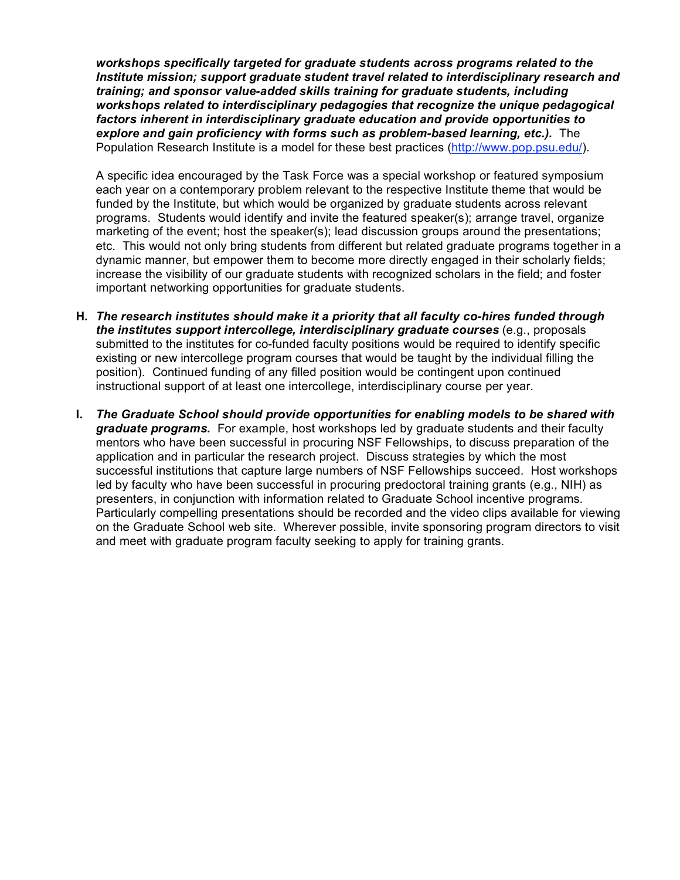*workshops specifically targeted for graduate students across programs related to the Institute mission; support graduate student travel related to interdisciplinary research and training; and sponsor value-added skills training for graduate students, including workshops related to interdisciplinary pedagogies that recognize the unique pedagogical factors inherent in interdisciplinary graduate education and provide opportunities to explore and gain proficiency with forms such as problem-based learning, etc.).* The Population Research Institute is a model for these best practices (http://www.pop.psu.edu/).

A specific idea encouraged by the Task Force was a special workshop or featured symposium each year on a contemporary problem relevant to the respective Institute theme that would be funded by the Institute, but which would be organized by graduate students across relevant programs. Students would identify and invite the featured speaker(s); arrange travel, organize marketing of the event; host the speaker(s); lead discussion groups around the presentations; etc. This would not only bring students from different but related graduate programs together in a dynamic manner, but empower them to become more directly engaged in their scholarly fields; increase the visibility of our graduate students with recognized scholars in the field; and foster important networking opportunities for graduate students.

- **H.** *The research institutes should make it a priority that all faculty co-hires funded through the institutes support intercollege, interdisciplinary graduate courses* (e.g., proposals submitted to the institutes for co-funded faculty positions would be required to identify specific existing or new intercollege program courses that would be taught by the individual filling the position). Continued funding of any filled position would be contingent upon continued instructional support of at least one intercollege, interdisciplinary course per year.
- **I.** *The Graduate School should provide opportunities for enabling models to be shared with graduate programs.* For example, host workshops led by graduate students and their faculty mentors who have been successful in procuring NSF Fellowships, to discuss preparation of the application and in particular the research project. Discuss strategies by which the most successful institutions that capture large numbers of NSF Fellowships succeed. Host workshops led by faculty who have been successful in procuring predoctoral training grants (e.g., NIH) as presenters, in conjunction with information related to Graduate School incentive programs. Particularly compelling presentations should be recorded and the video clips available for viewing on the Graduate School web site. Wherever possible, invite sponsoring program directors to visit and meet with graduate program faculty seeking to apply for training grants.